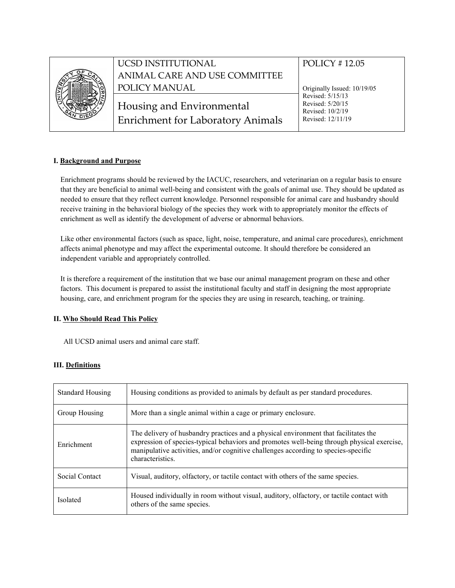

# UCSD INSTITUTIONAL ANIMAL CARE AND USE COMMITTEE POLICY MANUAL

Housing and Environmental Enrichment for Laboratory Animals

## POLICY # 12.05

Originally Issued: 10/19/05 Revised: 5/15/13 Revised: 5/20/15 Revised: 10/2/19 Revised: 12/11/19

#### **I. Background and Purpose**

Enrichment programs should be reviewed by the IACUC, researchers, and veterinarian on a regular basis to ensure that they are beneficial to animal well-being and consistent with the goals of animal use. They should be updated as needed to ensure that they reflect current knowledge. Personnel responsible for animal care and husbandry should receive training in the behavioral biology of the species they work with to appropriately monitor the effects of enrichment as well as identify the development of adverse or abnormal behaviors.

Like other environmental factors (such as space, light, noise, temperature, and animal care procedures), enrichment affects animal phenotype and may affect the experimental outcome. It should therefore be considered an independent variable and appropriately controlled.

It is therefore a requirement of the institution that we base our animal management program on these and other factors. This document is prepared to assist the institutional faculty and staff in designing the most appropriate housing, care, and enrichment program for the species they are using in research, teaching, or training.

### **II. Who Should Read This Policy**

All UCSD animal users and animal care staff.

#### **III. Definitions**

| <b>Standard Housing</b> | Housing conditions as provided to animals by default as per standard procedures.                                                                                                                                                                                                            |
|-------------------------|---------------------------------------------------------------------------------------------------------------------------------------------------------------------------------------------------------------------------------------------------------------------------------------------|
| Group Housing           | More than a single animal within a cage or primary enclosure.                                                                                                                                                                                                                               |
| Enrichment              | The delivery of husbandry practices and a physical environment that facilitates the<br>expression of species-typical behaviors and promotes well-being through physical exercise,<br>manipulative activities, and/or cognitive challenges according to species-specific<br>characteristics. |
| Social Contact          | Visual, auditory, olfactory, or tactile contact with others of the same species.                                                                                                                                                                                                            |
| Isolated                | Housed individually in room without visual, auditory, olfactory, or tactile contact with<br>others of the same species.                                                                                                                                                                     |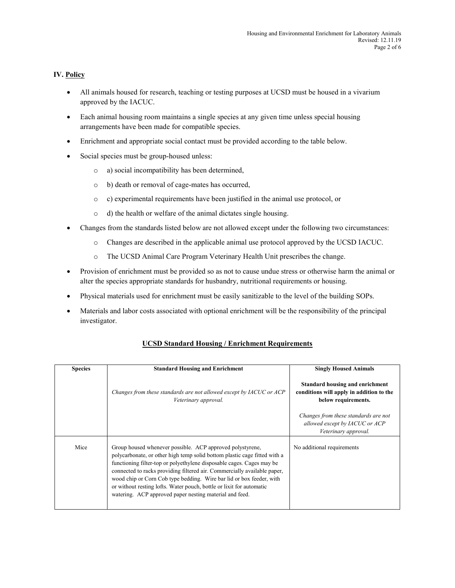#### **IV. Policy**

- All animals housed for research, teaching or testing purposes at UCSD must be housed in a vivarium approved by the IACUC.
- Each animal housing room maintains a single species at any given time unless special housing arrangements have been made for compatible species.
- Enrichment and appropriate social contact must be provided according to the table below.
- Social species must be group-housed unless:
	- o a) social incompatibility has been determined,
	- o b) death or removal of cage-mates has occurred,
	- o c) experimental requirements have been justified in the animal use protocol, or
	- o d) the health or welfare of the animal dictates single housing.
- Changes from the standards listed below are not allowed except under the following two circumstances:
	- o Changes are described in the applicable animal use protocol approved by the UCSD IACUC.
	- o The UCSD Animal Care Program Veterinary Health Unit prescribes the change.
- Provision of enrichment must be provided so as not to cause undue stress or otherwise harm the animal or alter the species appropriate standards for husbandry, nutritional requirements or housing.
- Physical materials used for enrichment must be easily sanitizable to the level of the building SOPs.
- Materials and labor costs associated with optional enrichment will be the responsibility of the principal investigator.

| <b>Species</b> | <b>Standard Housing and Enrichment</b>                                                                                                                                                                                                                                                                                                                                                                                                                                                                 | <b>Singly Housed Animals</b>                                                                       |
|----------------|--------------------------------------------------------------------------------------------------------------------------------------------------------------------------------------------------------------------------------------------------------------------------------------------------------------------------------------------------------------------------------------------------------------------------------------------------------------------------------------------------------|----------------------------------------------------------------------------------------------------|
|                | Changes from these standards are not allowed except by IACUC or ACP<br>Veterinary approval.                                                                                                                                                                                                                                                                                                                                                                                                            | Standard housing and enrichment<br>conditions will apply in addition to the<br>below requirements. |
|                |                                                                                                                                                                                                                                                                                                                                                                                                                                                                                                        | Changes from these standards are not<br>allowed except by IACUC or ACP<br>Veterinary approval.     |
| Mice           | Group housed whenever possible. ACP approved polystyrene,<br>polycarbonate, or other high temp solid bottom plastic cage fitted with a<br>functioning filter-top or polyethylene disposable cages. Cages may be<br>connected to racks providing filtered air. Commercially available paper,<br>wood chip or Corn Cob type bedding. Wire bar lid or box feeder, with<br>or without resting lofts. Water pouch, bottle or lixit for automatic<br>watering. ACP approved paper nesting material and feed. | No additional requirements                                                                         |

#### **UCSD Standard Housing / Enrichment Requirements**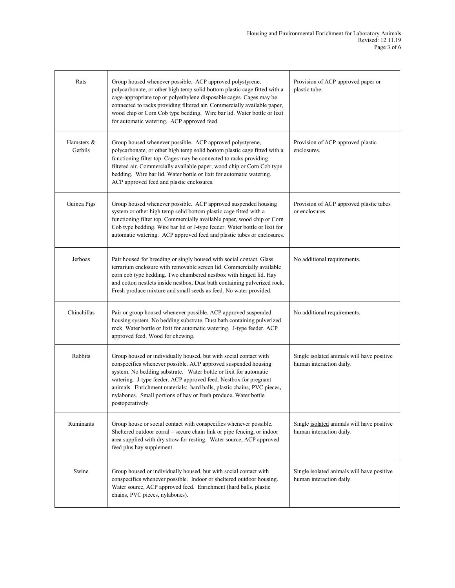| Rats                  | Group housed whenever possible. ACP approved polystyrene,<br>polycarbonate, or other high temp solid bottom plastic cage fitted with a<br>cage-appropriate top or polyethylene disposable cages. Cages may be<br>connected to racks providing filtered air. Commercially available paper,<br>wood chip or Corn Cob type bedding. Wire bar lid. Water bottle or lixit<br>for automatic watering. ACP approved feed.                            | Provision of ACP approved paper or<br>plastic tube.                    |
|-----------------------|-----------------------------------------------------------------------------------------------------------------------------------------------------------------------------------------------------------------------------------------------------------------------------------------------------------------------------------------------------------------------------------------------------------------------------------------------|------------------------------------------------------------------------|
| Hamsters &<br>Gerbils | Group housed whenever possible. ACP approved polystyrene,<br>polycarbonate, or other high temp solid bottom plastic cage fitted with a<br>functioning filter top. Cages may be connected to racks providing<br>filtered air. Commercially available paper, wood chip or Corn Cob type<br>bedding. Wire bar lid. Water bottle or lixit for automatic watering.<br>ACP approved feed and plastic enclosures.                                    | Provision of ACP approved plastic<br>enclosures.                       |
| Guinea Pigs           | Group housed whenever possible. ACP approved suspended housing<br>system or other high temp solid bottom plastic cage fitted with a<br>functioning filter top. Commercially available paper, wood chip or Corn<br>Cob type bedding. Wire bar lid or J-type feeder. Water bottle or lixit for<br>automatic watering. ACP approved feed and plastic tubes or enclosures.                                                                        | Provision of ACP approved plastic tubes<br>or enclosures.              |
| Jerboas               | Pair housed for breeding or singly housed with social contact. Glass<br>terrarium enclosure with removable screen lid. Commercially available<br>corn cob type bedding. Two chambered nestbox with hinged lid. Hay<br>and cotton nestlets inside nestbox. Dust bath containing pulverized rock.<br>Fresh produce mixture and small seeds as feed. No water provided.                                                                          | No additional requirements.                                            |
| Chinchillas           | Pair or group housed whenever possible. ACP approved suspended<br>housing system. No bedding substrate. Dust bath containing pulverized<br>rock. Water bottle or lixit for automatic watering. J-type feeder. ACP<br>approved feed. Wood for chewing.                                                                                                                                                                                         | No additional requirements.                                            |
| Rabbits               | Group housed or individually housed, but with social contact with<br>conspecifics whenever possible. ACP approved suspended housing<br>system. No bedding substrate. Water bottle or lixit for automatic<br>watering. J-type feeder. ACP approved feed. Nestbox for pregnant<br>animals. Enrichment materials: hard balls, plastic chains, PVC pieces,<br>nylabones. Small portions of hay or fresh produce. Water bottle<br>postoperatively. | Single isolated animals will have positive<br>human interaction daily. |
| Ruminants             | Group house or social contact with conspecifics whenever possible.<br>Sheltered outdoor corral – secure chain link or pipe fencing, or indoor<br>area supplied with dry straw for resting. Water source, ACP approved<br>feed plus hay supplement.                                                                                                                                                                                            | Single isolated animals will have positive<br>human interaction daily. |
| Swine                 | Group housed or individually housed, but with social contact with<br>conspecifics whenever possible. Indoor or sheltered outdoor housing.<br>Water source, ACP approved feed. Enrichment (hard balls, plastic<br>chains, PVC pieces, nylabones).                                                                                                                                                                                              | Single isolated animals will have positive<br>human interaction daily. |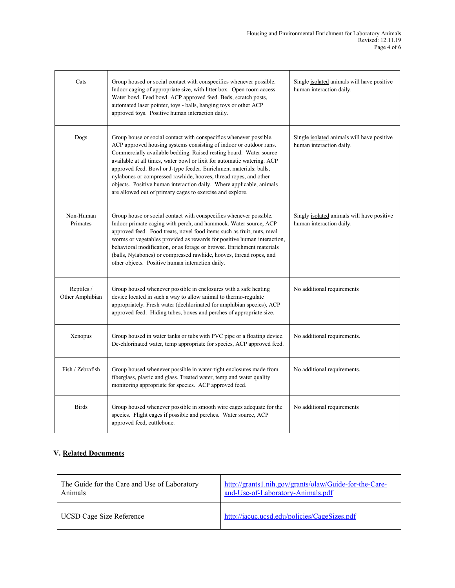| Cats                          | Group housed or social contact with conspecifics whenever possible.<br>Indoor caging of appropriate size, with litter box. Open room access.<br>Water bowl. Feed bowl. ACP approved feed. Beds, scratch posts,<br>automated laser pointer, toys - balls, hanging toys or other ACP<br>approved toys. Positive human interaction daily.                                                                                                                                                                                                                                   | Single isolated animals will have positive<br>human interaction daily. |
|-------------------------------|--------------------------------------------------------------------------------------------------------------------------------------------------------------------------------------------------------------------------------------------------------------------------------------------------------------------------------------------------------------------------------------------------------------------------------------------------------------------------------------------------------------------------------------------------------------------------|------------------------------------------------------------------------|
| Dogs                          | Group house or social contact with conspecifics whenever possible.<br>ACP approved housing systems consisting of indoor or outdoor runs.<br>Commercially available bedding. Raised resting board. Water source<br>available at all times, water bowl or lixit for automatic watering. ACP<br>approved feed. Bowl or J-type feeder. Enrichment materials: balls,<br>nylabones or compressed rawhide, hooves, thread ropes, and other<br>objects. Positive human interaction daily. Where applicable, animals<br>are allowed out of primary cages to exercise and explore. | Single isolated animals will have positive<br>human interaction daily. |
| Non-Human<br>Primates         | Group house or social contact with conspecifics whenever possible.<br>Indoor primate caging with perch, and hammock. Water source, ACP<br>approved feed. Food treats, novel food items such as fruit, nuts, meal<br>worms or vegetables provided as rewards for positive human interaction,<br>behavioral modification, or as forage or browse. Enrichment materials<br>(balls, Nylabones) or compressed rawhide, hooves, thread ropes, and<br>other objects. Positive human interaction daily.                                                                          | Singly isolated animals will have positive<br>human interaction daily. |
| Reptiles /<br>Other Amphibian | Group housed whenever possible in enclosures with a safe heating<br>device located in such a way to allow animal to thermo-regulate<br>appropriately. Fresh water (dechlorinated for amphibian species), ACP<br>approved feed. Hiding tubes, boxes and perches of appropriate size.                                                                                                                                                                                                                                                                                      | No additional requirements                                             |
| Xenopus                       | Group housed in water tanks or tubs with PVC pipe or a floating device.<br>De-chlorinated water, temp appropriate for species, ACP approved feed.                                                                                                                                                                                                                                                                                                                                                                                                                        | No additional requirements.                                            |
| Fish / Zebrafish              | Group housed whenever possible in water-tight enclosures made from<br>fiberglass, plastic and glass. Treated water, temp and water quality<br>monitoring appropriate for species. ACP approved feed.                                                                                                                                                                                                                                                                                                                                                                     | No additional requirements.                                            |
| <b>Birds</b>                  | Group housed whenever possible in smooth wire cages adequate for the<br>species. Flight cages if possible and perches. Water source, ACP<br>approved feed, cuttlebone.                                                                                                                                                                                                                                                                                                                                                                                                   | No additional requirements                                             |

#### **V. Related Documents**

| The Guide for the Care and Use of Laboratory | http://grants1.nih.gov/grants/olaw/Guide-for-the-Care- |
|----------------------------------------------|--------------------------------------------------------|
| Animals                                      | and-Use-of-Laboratory-Animals.pdf                      |
| UCSD Cage Size Reference                     | http://iacuc.ucsd.edu/policies/CageSizes.pdf           |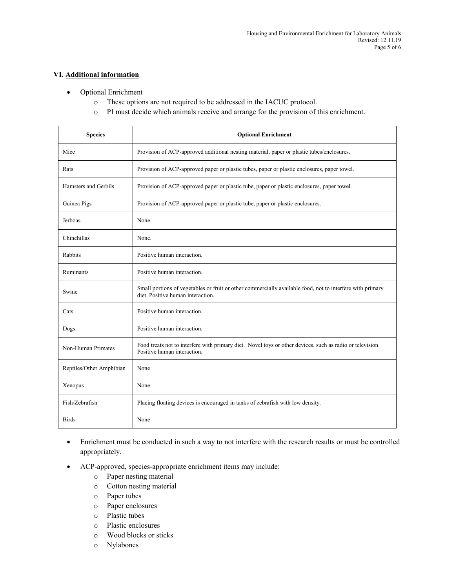#### **VI. Additional information**

- Optional Enrichment
	- o These options are not required to be addressed in the IACUC protocol.
	- o PI must decide which animals receive and arrange for the provision of this enrichment.

| <b>Species</b>           | <b>Optional Enrichment</b>                                                                                                                     |
|--------------------------|------------------------------------------------------------------------------------------------------------------------------------------------|
| Mice                     | Provision of ACP-approved additional nesting material, paper or plastic tubes/enclosures.                                                      |
| Rats                     | Provision of ACP-approved paper or plastic tubes, paper or plastic enclosures, paper towel.                                                    |
| Hamsters and Gerbils     | Provision of ACP-approved paper or plastic tube, paper or plastic enclosures, paper towel.                                                     |
| Guinea Pigs              | Provision of ACP-approved paper or plastic tube, paper or plastic enclosures.                                                                  |
| Jerboas                  | None.                                                                                                                                          |
| Chinchillas              | None.                                                                                                                                          |
| Rabbits                  | Positive human interaction.                                                                                                                    |
| Ruminants                | Positive human interaction.                                                                                                                    |
| Swine                    | Small portions of vegetables or fruit or other commercially available food, not to interfere with primary<br>diet. Positive human interaction. |
| Cats                     | Positive human interaction.                                                                                                                    |
| Dogs                     | Positive human interaction.                                                                                                                    |
| Non-Human Primates       | Food treats not to interfere with primary diet. Novel toys or other devices, such as radio or television.<br>Positive human interaction.       |
| Reptiles/Other Amphibian | None                                                                                                                                           |
| Xenopus                  | None                                                                                                                                           |
| Fish/Zebrafish           | Placing floating devices is encouraged in tanks of zebrafish with low density.                                                                 |
| <b>Birds</b>             | None                                                                                                                                           |

- Enrichment must be conducted in such a way to not interfere with the research results or must be controlled appropriately.
- ACP-approved, species-appropriate enrichment items may include:
	- o Paper nesting material
	- o Cotton nesting material
	- o Paper tubes
	- o Paper enclosures
	- o Plastic tubes
	- o Plastic enclosures
	- o Wood blocks or sticks
	- o Nylabones